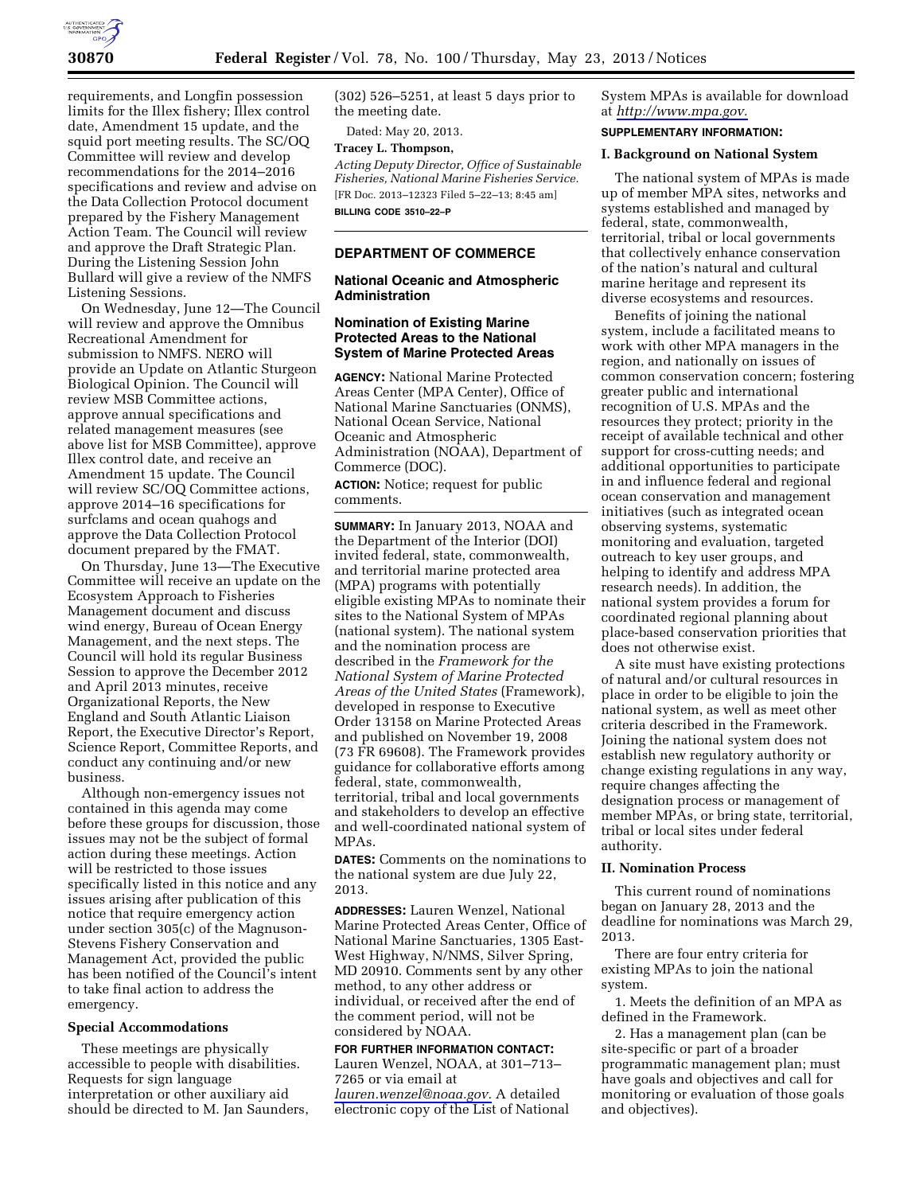

requirements, and Longfin possession limits for the Illex fishery; Illex control date, Amendment 15 update, and the squid port meeting results. The SC/OQ Committee will review and develop recommendations for the 2014–2016 specifications and review and advise on the Data Collection Protocol document prepared by the Fishery Management Action Team. The Council will review and approve the Draft Strategic Plan. During the Listening Session John Bullard will give a review of the NMFS Listening Sessions.

On Wednesday, June 12—The Council will review and approve the Omnibus Recreational Amendment for submission to NMFS. NERO will provide an Update on Atlantic Sturgeon Biological Opinion. The Council will review MSB Committee actions, approve annual specifications and related management measures (see above list for MSB Committee), approve Illex control date, and receive an Amendment 15 update. The Council will review SC/OQ Committee actions, approve 2014–16 specifications for surfclams and ocean quahogs and approve the Data Collection Protocol document prepared by the FMAT.

On Thursday, June 13—The Executive Committee will receive an update on the Ecosystem Approach to Fisheries Management document and discuss wind energy, Bureau of Ocean Energy Management, and the next steps. The Council will hold its regular Business Session to approve the December 2012 and April 2013 minutes, receive Organizational Reports, the New England and South Atlantic Liaison Report, the Executive Director's Report, Science Report, Committee Reports, and conduct any continuing and/or new business.

Although non-emergency issues not contained in this agenda may come before these groups for discussion, those issues may not be the subject of formal action during these meetings. Action will be restricted to those issues specifically listed in this notice and any issues arising after publication of this notice that require emergency action under section 305(c) of the Magnuson-Stevens Fishery Conservation and Management Act, provided the public has been notified of the Council's intent to take final action to address the emergency.

#### **Special Accommodations**

These meetings are physically accessible to people with disabilities. Requests for sign language interpretation or other auxiliary aid should be directed to M. Jan Saunders, (302) 526–5251, at least 5 days prior to the meeting date.

Dated: May 20, 2013.

# **Tracey L. Thompson,**

*Acting Deputy Director, Office of Sustainable Fisheries, National Marine Fisheries Service.*  [FR Doc. 2013–12323 Filed 5–22–13; 8:45 am] **BILLING CODE 3510–22–P** 

### **DEPARTMENT OF COMMERCE**

### **National Oceanic and Atmospheric Administration**

## **Nomination of Existing Marine Protected Areas to the National System of Marine Protected Areas**

**AGENCY:** National Marine Protected Areas Center (MPA Center), Office of National Marine Sanctuaries (ONMS), National Ocean Service, National Oceanic and Atmospheric Administration (NOAA), Department of Commerce (DOC).

**ACTION:** Notice; request for public comments.

**SUMMARY:** In January 2013, NOAA and the Department of the Interior (DOI) invited federal, state, commonwealth, and territorial marine protected area (MPA) programs with potentially eligible existing MPAs to nominate their sites to the National System of MPAs (national system). The national system and the nomination process are described in the *Framework for the National System of Marine Protected Areas of the United States* (Framework), developed in response to Executive Order 13158 on Marine Protected Areas and published on November 19, 2008 (73 FR 69608). The Framework provides guidance for collaborative efforts among federal, state, commonwealth, territorial, tribal and local governments and stakeholders to develop an effective and well-coordinated national system of MPAs.

**DATES:** Comments on the nominations to the national system are due July 22, 2013.

**ADDRESSES:** Lauren Wenzel, National Marine Protected Areas Center, Office of National Marine Sanctuaries, 1305 East-West Highway, N/NMS, Silver Spring, MD 20910. Comments sent by any other method, to any other address or individual, or received after the end of the comment period, will not be considered by NOAA.

#### **FOR FURTHER INFORMATION CONTACT:**

Lauren Wenzel, NOAA, at 301–713– 7265 or via email at *[lauren.wenzel@noaa.gov.](mailto:lauren.wenzel@noaa.gov)* A detailed electronic copy of the List of National System MPAs is available for download at *[http://www.mpa.gov.](http://www.mpa.gov)* 

# **SUPPLEMENTARY INFORMATION:**

# **I. Background on National System**

The national system of MPAs is made up of member MPA sites, networks and systems established and managed by federal, state, commonwealth, territorial, tribal or local governments that collectively enhance conservation of the nation's natural and cultural marine heritage and represent its diverse ecosystems and resources.

Benefits of joining the national system, include a facilitated means to work with other MPA managers in the region, and nationally on issues of common conservation concern; fostering greater public and international recognition of U.S. MPAs and the resources they protect; priority in the receipt of available technical and other support for cross-cutting needs; and additional opportunities to participate in and influence federal and regional ocean conservation and management initiatives (such as integrated ocean observing systems, systematic monitoring and evaluation, targeted outreach to key user groups, and helping to identify and address MPA research needs). In addition, the national system provides a forum for coordinated regional planning about place-based conservation priorities that does not otherwise exist.

A site must have existing protections of natural and/or cultural resources in place in order to be eligible to join the national system, as well as meet other criteria described in the Framework. Joining the national system does not establish new regulatory authority or change existing regulations in any way, require changes affecting the designation process or management of member MPAs, or bring state, territorial, tribal or local sites under federal authority.

# **II. Nomination Process**

This current round of nominations began on January 28, 2013 and the deadline for nominations was March 29, 2013.

There are four entry criteria for existing MPAs to join the national system.

1. Meets the definition of an MPA as defined in the Framework.

2. Has a management plan (can be site-specific or part of a broader programmatic management plan; must have goals and objectives and call for monitoring or evaluation of those goals and objectives).